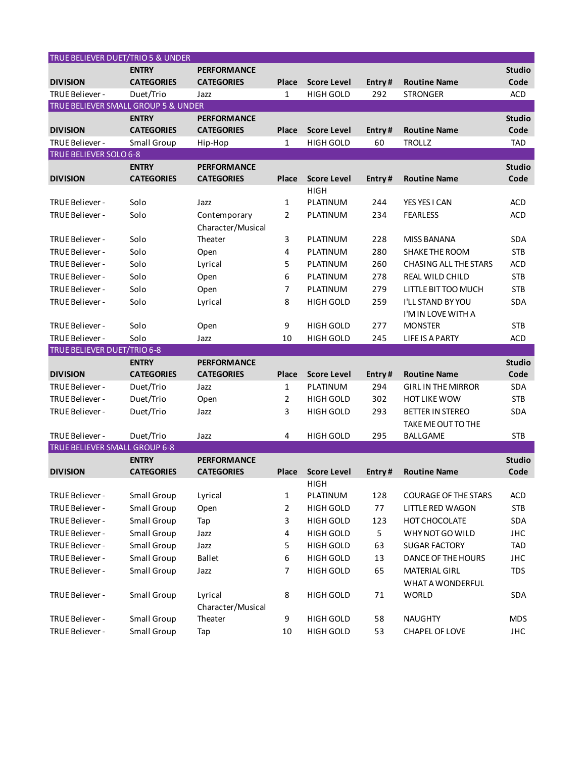| TRUE BELIEVER DUET/TRIO 5 & UNDER   |                            |                                   |                |                                      |          |                                                 |                          |
|-------------------------------------|----------------------------|-----------------------------------|----------------|--------------------------------------|----------|-------------------------------------------------|--------------------------|
|                                     | <b>ENTRY</b>               | <b>PERFORMANCE</b>                |                |                                      |          |                                                 | <b>Studio</b>            |
| <b>DIVISION</b>                     | <b>CATEGORIES</b>          | <b>CATEGORIES</b>                 | <b>Place</b>   | <b>Score Level</b>                   | Entry#   | <b>Routine Name</b>                             | Code                     |
| TRUE Believer -                     | Duet/Trio                  | Jazz                              | $\mathbf{1}$   | <b>HIGH GOLD</b>                     | 292      | <b>STRONGER</b>                                 | <b>ACD</b>               |
| TRUE BELIEVER SMALL GROUP 5 & UNDER |                            |                                   |                |                                      |          |                                                 |                          |
|                                     | <b>ENTRY</b>               | <b>PERFORMANCE</b>                |                |                                      |          |                                                 | <b>Studio</b>            |
| <b>DIVISION</b>                     | <b>CATEGORIES</b>          | <b>CATEGORIES</b>                 | <b>Place</b>   | <b>Score Level</b>                   | Entry#   | <b>Routine Name</b>                             | Code                     |
| TRUE Believer -                     | <b>Small Group</b>         | Hip-Hop                           | $\mathbf{1}$   | <b>HIGH GOLD</b>                     | 60       | <b>TROLLZ</b>                                   | <b>TAD</b>               |
| TRUE BELIEVER SOLO 6-8              |                            |                                   |                |                                      |          |                                                 |                          |
|                                     | <b>ENTRY</b>               | <b>PERFORMANCE</b>                |                |                                      |          |                                                 | <b>Studio</b>            |
| <b>DIVISION</b>                     | <b>CATEGORIES</b>          | <b>CATEGORIES</b>                 | Place          | <b>Score Level</b>                   | Entry#   | <b>Routine Name</b>                             | Code                     |
|                                     |                            |                                   |                | <b>HIGH</b>                          |          |                                                 |                          |
| TRUE Believer -                     | Solo                       | Jazz                              | 1              | PLATINUM                             | 244      | YES YES I CAN                                   | <b>ACD</b>               |
| TRUE Believer -                     | Solo                       | Contemporary<br>Character/Musical | $\overline{2}$ | PLATINUM                             | 234      | <b>FEARLESS</b>                                 | <b>ACD</b>               |
| TRUE Believer -                     | Solo                       | Theater                           | 3              | PLATINUM                             | 228      | <b>MISS BANANA</b>                              | <b>SDA</b>               |
| TRUE Believer -                     | Solo                       | Open                              | 4              | PLATINUM                             | 280      | SHAKE THE ROOM                                  | <b>STB</b>               |
| TRUE Believer -                     | Solo                       | Lyrical                           | 5              | PLATINUM                             | 260      | <b>CHASING ALL THE STARS</b>                    | ACD                      |
| TRUE Believer -                     | Solo                       | Open                              | 6              | PLATINUM                             | 278      | <b>REAL WILD CHILD</b>                          | <b>STB</b>               |
| TRUE Believer -                     | Solo                       | Open                              | 7              | PLATINUM                             | 279      | LITTLE BIT TOO MUCH                             | <b>STB</b>               |
| TRUE Believer -                     | Solo                       | Lyrical                           | 8              | <b>HIGH GOLD</b>                     | 259      | I'LL STAND BY YOU<br>I'M IN LOVE WITH A         | SDA                      |
| TRUE Believer -                     | Solo                       | Open                              | 9              | <b>HIGH GOLD</b>                     | 277      | <b>MONSTER</b>                                  | <b>STB</b>               |
| TRUE Believer -                     | Solo                       | Jazz                              | 10             | <b>HIGH GOLD</b>                     | 245      | <b>LIFE IS A PARTY</b>                          | <b>ACD</b>               |
|                                     |                            |                                   |                |                                      |          |                                                 |                          |
|                                     |                            |                                   |                |                                      |          |                                                 |                          |
| TRUE BELIEVER DUET/TRIO 6-8         | <b>ENTRY</b>               | <b>PERFORMANCE</b>                |                |                                      |          |                                                 | <b>Studio</b>            |
| <b>DIVISION</b>                     | <b>CATEGORIES</b>          | <b>CATEGORIES</b>                 | Place          | <b>Score Level</b>                   | Entry#   | <b>Routine Name</b>                             | Code                     |
| TRUE Believer -                     | Duet/Trio                  | Jazz                              | 1              | PLATINUM                             | 294      | <b>GIRL IN THE MIRROR</b>                       | <b>SDA</b>               |
| TRUE Believer -                     | Duet/Trio                  | Open                              | 2              | <b>HIGH GOLD</b>                     | 302      | <b>HOT LIKE WOW</b>                             | <b>STB</b>               |
| TRUE Believer -                     | Duet/Trio                  | Jazz                              | 3              | <b>HIGH GOLD</b>                     | 293      | <b>BETTER IN STEREO</b>                         | <b>SDA</b>               |
|                                     |                            |                                   |                |                                      |          | TAKE ME OUT TO THE                              |                          |
| TRUE Believer -                     | Duet/Trio                  | Jazz                              | 4              | <b>HIGH GOLD</b>                     | 295      | BALLGAME                                        | <b>STB</b>               |
| TRUE BELIEVER SMALL GROUP 6-8       |                            |                                   |                |                                      |          |                                                 |                          |
|                                     | <b>ENTRY</b>               | <b>PERFORMANCE</b>                |                |                                      |          |                                                 | <b>Studio</b>            |
| <b>DIVISION</b>                     | <b>CATEGORIES</b>          | <b>CATEGORIES</b>                 | Place          | <b>Score Level</b>                   | Entry#   | <b>Routine Name</b>                             | Code                     |
|                                     |                            |                                   |                | <b>HIGH</b>                          |          |                                                 |                          |
| TRUE Believer -                     | Small Group                | Lyrical                           | 1              | PLATINUM                             | 128      | <b>COURAGE OF THE STARS</b>                     | <b>ACD</b>               |
| TRUE Believer -                     | Small Group                | Open                              | 2              | <b>HIGH GOLD</b>                     | 77       | LITTLE RED WAGON                                | <b>STB</b>               |
| TRUE Believer -                     | Small Group                | Tap                               | 3              | <b>HIGH GOLD</b>                     | 123      | HOT CHOCOLATE                                   | <b>SDA</b>               |
| TRUE Believer -                     | Small Group                | Jazz                              | 4              | <b>HIGH GOLD</b>                     | 5        | WHY NOT GO WILD                                 | <b>JHC</b>               |
| TRUE Believer -                     | Small Group                | Jazz                              | 5              | <b>HIGH GOLD</b>                     | 63       | <b>SUGAR FACTORY</b>                            | <b>TAD</b>               |
| TRUE Believer -                     | Small Group                | <b>Ballet</b>                     | 6              | <b>HIGH GOLD</b>                     | 13       | DANCE OF THE HOURS                              | <b>JHC</b>               |
| TRUE Believer -                     | Small Group                | Jazz                              | 7              | <b>HIGH GOLD</b>                     | 65       | <b>MATERIAL GIRL</b><br><b>WHAT A WONDERFUL</b> | <b>TDS</b>               |
| TRUE Believer -                     | Small Group                | Lyrical                           | 8              | <b>HIGH GOLD</b>                     | 71       | <b>WORLD</b>                                    | <b>SDA</b>               |
|                                     |                            | Character/Musical                 |                |                                      |          |                                                 |                          |
| TRUE Believer -<br>TRUE Believer -  | Small Group<br>Small Group | Theater<br>Tap                    | 9<br>10        | <b>HIGH GOLD</b><br><b>HIGH GOLD</b> | 58<br>53 | <b>NAUGHTY</b><br>CHAPEL OF LOVE                | <b>MDS</b><br><b>JHC</b> |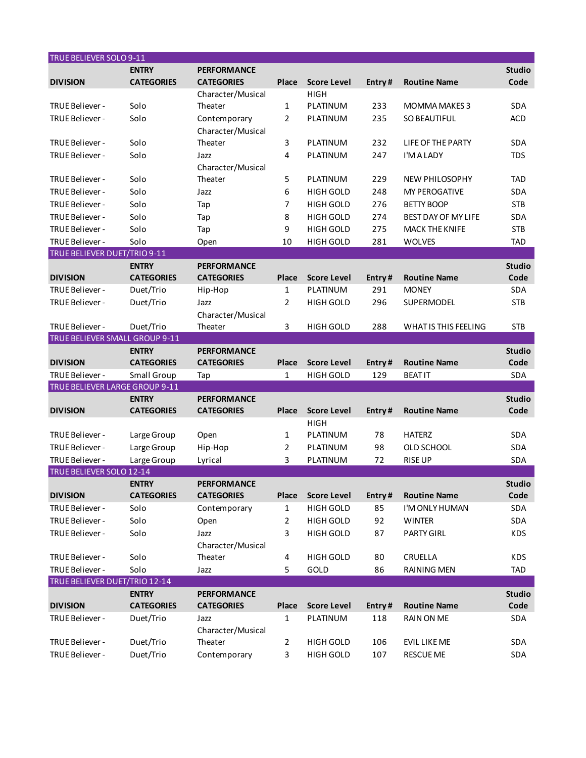| TRUE BELIEVER SOLO 9-11               |                   |                              |                       |                    |        |                       |               |
|---------------------------------------|-------------------|------------------------------|-----------------------|--------------------|--------|-----------------------|---------------|
|                                       | <b>ENTRY</b>      | <b>PERFORMANCE</b>           |                       |                    |        |                       | <b>Studio</b> |
| <b>DIVISION</b>                       | <b>CATEGORIES</b> | <b>CATEGORIES</b>            | Place                 | <b>Score Level</b> | Entry# | <b>Routine Name</b>   | Code          |
|                                       |                   | Character/Musical            |                       | <b>HIGH</b>        |        |                       |               |
| TRUE Believer -                       | Solo              | Theater                      | 1                     | PLATINUM           | 233    | <b>MOMMA MAKES 3</b>  | <b>SDA</b>    |
| <b>TRUE Believer -</b>                | Solo              | Contemporary                 | $\overline{2}$        | PLATINUM           | 235    | <b>SO BEAUTIFUL</b>   | <b>ACD</b>    |
|                                       |                   | Character/Musical            |                       |                    |        |                       |               |
| TRUE Believer -                       | Solo              | Theater                      | 3                     | PLATINUM           | 232    | LIFE OF THE PARTY     | <b>SDA</b>    |
| TRUE Believer -                       | Solo              | Jazz                         | 4                     | PLATINUM           | 247    | I'M A LADY            | <b>TDS</b>    |
|                                       |                   | Character/Musical            |                       |                    |        |                       |               |
| TRUE Believer -                       | Solo              | Theater                      | 5                     | PLATINUM           | 229    | NEW PHILOSOPHY        | <b>TAD</b>    |
| TRUE Believer -                       | Solo              | Jazz                         | 6                     | <b>HIGH GOLD</b>   | 248    | <b>MY PEROGATIVE</b>  | SDA           |
| TRUE Believer -                       | Solo              | Tap                          | 7                     | <b>HIGH GOLD</b>   | 276    | <b>BETTY BOOP</b>     | <b>STB</b>    |
| TRUE Believer -                       | Solo              | Tap                          | 8                     | <b>HIGH GOLD</b>   | 274    | BEST DAY OF MY LIFE   | SDA           |
| TRUE Believer -                       | Solo              | Tap                          | 9                     | <b>HIGH GOLD</b>   | 275    | <b>MACK THE KNIFE</b> | <b>STB</b>    |
| TRUE Believer -                       | Solo              | Open                         | 10                    | HIGH GOLD          | 281    | <b>WOLVES</b>         | <b>TAD</b>    |
| <b>TRUE BELIEVER DUET/TRIO 9-11</b>   |                   |                              |                       |                    |        |                       |               |
|                                       | <b>ENTRY</b>      | <b>PERFORMANCE</b>           |                       |                    |        |                       | <b>Studio</b> |
| <b>DIVISION</b>                       | <b>CATEGORIES</b> | <b>CATEGORIES</b>            | Place                 | <b>Score Level</b> | Entry# | <b>Routine Name</b>   | Code          |
| TRUE Believer -                       | Duet/Trio         | Hip-Hop                      | $\mathbf{1}$          | PLATINUM           | 291    | <b>MONEY</b>          | SDA           |
| TRUE Believer -                       | Duet/Trio         | Jazz                         | $\overline{2}$        | <b>HIGH GOLD</b>   | 296    | SUPERMODEL            | <b>STB</b>    |
|                                       |                   | Character/Musical            |                       |                    |        |                       |               |
| TRUE Believer -                       | Duet/Trio         | Theater                      | 3                     | <b>HIGH GOLD</b>   | 288    | WHAT IS THIS FEELING  | <b>STB</b>    |
| <b>TRUE BELIEVER SMALL GROUP 9-11</b> |                   |                              |                       |                    |        |                       |               |
|                                       | <b>ENTRY</b>      | <b>PERFORMANCE</b>           |                       |                    |        |                       | <b>Studio</b> |
| <b>DIVISION</b>                       | <b>CATEGORIES</b> | <b>CATEGORIES</b>            | Place                 | <b>Score Level</b> | Entry# | <b>Routine Name</b>   | Code          |
| TRUE Believer -                       | Small Group       | Tap                          | $\mathbf{1}$          | <b>HIGH GOLD</b>   | 129    | <b>BEAT IT</b>        | <b>SDA</b>    |
| TRUE BELIEVER LARGE GROUP 9-11        |                   |                              |                       |                    |        |                       |               |
|                                       | <b>ENTRY</b>      | <b>PERFORMANCE</b>           |                       |                    |        |                       | <b>Studio</b> |
| <b>DIVISION</b>                       | <b>CATEGORIES</b> | <b>CATEGORIES</b>            | Place                 | <b>Score Level</b> | Entry# | <b>Routine Name</b>   | Code          |
|                                       |                   |                              |                       | <b>HIGH</b>        |        |                       |               |
| TRUE Believer -                       | Large Group       | Open                         | 1                     | PLATINUM           | 78     | <b>HATERZ</b>         | <b>SDA</b>    |
| TRUE Believer -                       | Large Group       | Hip-Hop                      | 2                     | PLATINUM           | 98     | OLD SCHOOL            | SDA           |
| TRUE Believer -                       | Large Group       | Lyrical                      | 3                     | PLATINUM           | 72     | <b>RISE UP</b>        | SDA           |
| TRUE BELIEVER SOLO 12-14              |                   |                              |                       |                    |        |                       |               |
|                                       | <b>ENTRY</b>      | <b>PERFORMANCE</b>           |                       |                    |        |                       | <b>Studio</b> |
| <b>DIVISION</b>                       | <b>CATEGORIES</b> | <b>CATEGORIES</b>            | <b>Place</b>          | <b>Score Level</b> | Entry# | <b>Routine Name</b>   | Code          |
| TRUE Believer -                       | Solo              | Contemporary                 | 1                     | <b>HIGH GOLD</b>   | 85     | I'M ONLY HUMAN        | SDA           |
| TRUE Believer -                       | Solo              | Open                         | $\overline{2}$        | <b>HIGH GOLD</b>   | 92     | <b>WINTER</b>         | SDA           |
| TRUE Believer -                       | Solo              | Jazz                         | 3                     | <b>HIGH GOLD</b>   | 87     | <b>PARTY GIRL</b>     | KDS           |
|                                       |                   | Character/Musical            |                       |                    |        |                       |               |
| TRUE Believer -                       | Solo              | Theater                      | 4                     | <b>HIGH GOLD</b>   | 80     | CRUELLA               | KDS           |
| TRUE Believer -                       | Solo              | Jazz                         | 5                     | GOLD               | 86     | <b>RAINING MEN</b>    | <b>TAD</b>    |
| TRUE BELIEVER DUET/TRIO 12-14         | <b>ENTRY</b>      | <b>PERFORMANCE</b>           |                       |                    |        |                       | <b>Studio</b> |
|                                       |                   |                              |                       |                    |        |                       |               |
| <b>DIVISION</b><br>TRUE Believer -    | <b>CATEGORIES</b> | <b>CATEGORIES</b>            | Place<br>$\mathbf{1}$ | <b>Score Level</b> | Entry# | <b>Routine Name</b>   | Code          |
|                                       | Duet/Trio         | Jazz                         |                       | PLATINUM           | 118    | RAIN ON ME            | SDA           |
| TRUE Believer -                       | Duet/Trio         | Character/Musical<br>Theater | $\overline{2}$        | HIGH GOLD          | 106    | <b>EVIL LIKE ME</b>   | SDA           |
| TRUE Believer -                       | Duet/Trio         | Contemporary                 | 3                     | HIGH GOLD          | 107    | <b>RESCUE ME</b>      | SDA           |
|                                       |                   |                              |                       |                    |        |                       |               |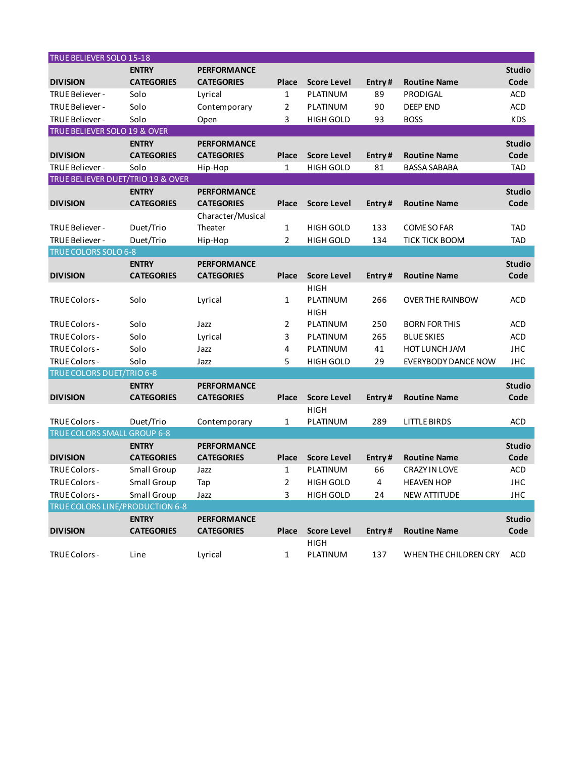| TRUE BELIEVER SOLO 15-18          |                   |                    |              |                    |        |                         |               |
|-----------------------------------|-------------------|--------------------|--------------|--------------------|--------|-------------------------|---------------|
|                                   | <b>ENTRY</b>      | <b>PERFORMANCE</b> |              |                    |        |                         | <b>Studio</b> |
| <b>DIVISION</b>                   | <b>CATEGORIES</b> | <b>CATEGORIES</b>  | <b>Place</b> | <b>Score Level</b> | Entry# | <b>Routine Name</b>     | Code          |
| TRUE Believer -                   | Solo              | Lyrical            | 1            | PLATINUM           | 89     | PRODIGAL                | <b>ACD</b>    |
| TRUE Believer -                   | Solo              | Contemporary       | 2            | PLATINUM           | 90     | <b>DEEP END</b>         | <b>ACD</b>    |
| TRUE Believer -                   | Solo              | Open               | 3            | <b>HIGH GOLD</b>   | 93     | <b>BOSS</b>             | <b>KDS</b>    |
| TRUE BELIEVER SOLO 19 & OVER      |                   |                    |              |                    |        |                         |               |
|                                   | <b>ENTRY</b>      | <b>PERFORMANCE</b> |              |                    |        |                         | <b>Studio</b> |
| <b>DIVISION</b>                   | <b>CATEGORIES</b> | <b>CATEGORIES</b>  | Place        | <b>Score Level</b> | Entry# | <b>Routine Name</b>     | Code          |
| TRUE Believer -                   | Solo              | Hip-Hop            | 1            | <b>HIGH GOLD</b>   | 81     | <b>BASSA SABABA</b>     | <b>TAD</b>    |
| TRUE BELIEVER DUET/TRIO 19 & OVER |                   |                    |              |                    |        |                         |               |
|                                   | <b>ENTRY</b>      | <b>PERFORMANCE</b> |              |                    |        |                         | <b>Studio</b> |
| <b>DIVISION</b>                   | <b>CATEGORIES</b> | <b>CATEGORIES</b>  | Place        | <b>Score Level</b> | Entry# | <b>Routine Name</b>     | Code          |
|                                   |                   | Character/Musical  |              |                    |        |                         |               |
| TRUE Believer -                   | Duet/Trio         | Theater            | 1            | <b>HIGH GOLD</b>   | 133    | <b>COME SO FAR</b>      | <b>TAD</b>    |
| TRUE Believer -                   | Duet/Trio         | Hip-Hop            | 2            | <b>HIGH GOLD</b>   | 134    | <b>TICK TICK BOOM</b>   | <b>TAD</b>    |
| TRUE COLORS SOLO 6-8              |                   |                    |              |                    |        |                         |               |
|                                   | <b>ENTRY</b>      | <b>PERFORMANCE</b> |              |                    |        |                         | <b>Studio</b> |
| <b>DIVISION</b>                   | <b>CATEGORIES</b> | <b>CATEGORIES</b>  | <b>Place</b> | <b>Score Level</b> | Entry# | <b>Routine Name</b>     | Code          |
|                                   |                   |                    |              | <b>HIGH</b>        |        |                         |               |
| TRUE Colors -                     | Solo              | Lyrical            | 1            | PLATINUM           | 266    | <b>OVER THE RAINBOW</b> | <b>ACD</b>    |
|                                   |                   |                    |              | <b>HIGH</b>        |        |                         |               |
| <b>TRUE Colors -</b>              | Solo              | Jazz               | 2            | PLATINUM           | 250    | <b>BORN FOR THIS</b>    | <b>ACD</b>    |
| <b>TRUE Colors -</b>              | Solo              | Lyrical            | 3            | PLATINUM           | 265    | <b>BLUE SKIES</b>       | <b>ACD</b>    |
| <b>TRUE Colors -</b>              | Solo              | Jazz               | 4            | PLATINUM           | 41     | HOT LUNCH JAM           | <b>JHC</b>    |
| TRUE Colors -                     | Solo              | Jazz               | 5            | <b>HIGH GOLD</b>   | 29     | EVERYBODY DANCE NOW     | <b>JHC</b>    |
| TRUE COLORS DUET/TRIO 6-8         |                   |                    |              |                    |        |                         |               |
|                                   | <b>ENTRY</b>      | <b>PERFORMANCE</b> |              |                    |        |                         | <b>Studio</b> |
| <b>DIVISION</b>                   | <b>CATEGORIES</b> | <b>CATEGORIES</b>  | <b>Place</b> | <b>Score Level</b> | Entry# | <b>Routine Name</b>     | Code          |
|                                   |                   |                    |              | <b>HIGH</b>        |        |                         |               |
| TRUE Colors -                     | Duet/Trio         | Contemporary       | 1            | PLATINUM           | 289    | <b>LITTLE BIRDS</b>     | <b>ACD</b>    |
| TRUE COLORS SMALL GROUP 6-8       |                   |                    |              |                    |        |                         |               |
|                                   | <b>ENTRY</b>      | <b>PERFORMANCE</b> |              |                    |        |                         | <b>Studio</b> |
| <b>DIVISION</b>                   | <b>CATEGORIES</b> | <b>CATEGORIES</b>  | <b>Place</b> | <b>Score Level</b> | Entry# | <b>Routine Name</b>     | Code          |
| <b>TRUE Colors -</b>              | Small Group       | Jazz               | 1            | PLATINUM           | 66     | <b>CRAZY IN LOVE</b>    | ACD           |
| TRUE Colors -                     | Small Group       | Tap                | 2            | <b>HIGH GOLD</b>   | 4      | <b>HEAVEN HOP</b>       | JHC           |
| TRUE Colors -                     | Small Group       | Jazz               | 3            | HIGH GOLD          | 24     | <b>NEW ATTITUDE</b>     | JHC           |
| TRUE COLORS LINE/PRODUCTION 6-8   |                   |                    |              |                    |        |                         |               |
|                                   | <b>ENTRY</b>      | <b>PERFORMANCE</b> |              |                    |        |                         | <b>Studio</b> |
| <b>DIVISION</b>                   | <b>CATEGORIES</b> | <b>CATEGORIES</b>  | Place        | <b>Score Level</b> | Entry# | <b>Routine Name</b>     | Code          |
|                                   |                   |                    |              | <b>HIGH</b>        |        |                         |               |
| TRUE Colors -                     | Line              | Lyrical            | 1            | PLATINUM           | 137    | WHEN THE CHILDREN CRY   | <b>ACD</b>    |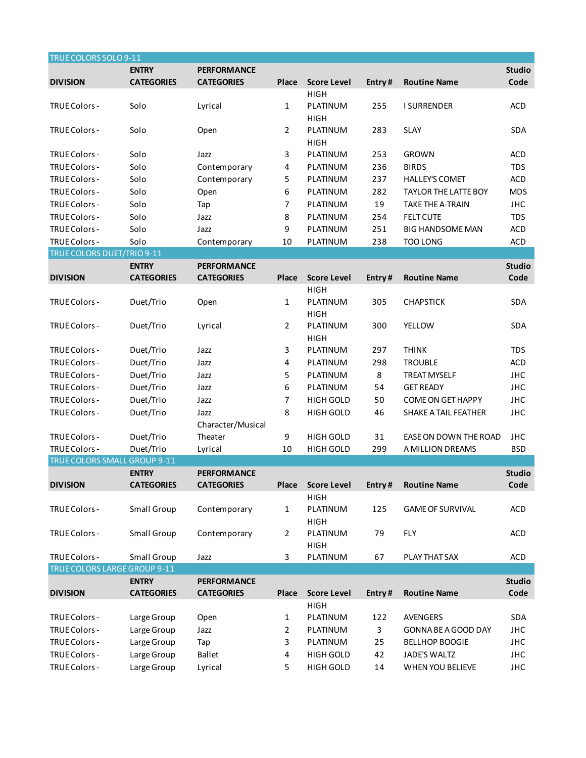| TRUE COLORS SOLO 9-11               |                    |                    |       |                    |        |                             |               |
|-------------------------------------|--------------------|--------------------|-------|--------------------|--------|-----------------------------|---------------|
|                                     | <b>ENTRY</b>       | <b>PERFORMANCE</b> |       |                    |        |                             | <b>Studio</b> |
| <b>DIVISION</b>                     | <b>CATEGORIES</b>  | <b>CATEGORIES</b>  | Place | <b>Score Level</b> | Entry# | <b>Routine Name</b>         | Code          |
|                                     |                    |                    |       | <b>HIGH</b>        |        |                             |               |
| <b>TRUE Colors -</b>                | Solo               | Lyrical            | 1     | PLATINUM           | 255    | <b>I SURRENDER</b>          | <b>ACD</b>    |
|                                     |                    |                    |       | <b>HIGH</b>        |        |                             |               |
| <b>TRUE Colors -</b>                | Solo               | Open               | 2     | PLATINUM           | 283    | <b>SLAY</b>                 | <b>SDA</b>    |
|                                     |                    |                    |       | <b>HIGH</b>        |        |                             |               |
| <b>TRUE Colors -</b>                | Solo               | Jazz               | 3     | PLATINUM           | 253    | <b>GROWN</b>                | <b>ACD</b>    |
| TRUE Colors -                       | Solo               | Contemporary       | 4     | PLATINUM           | 236    | <b>BIRDS</b>                | <b>TDS</b>    |
| TRUE Colors -                       | Solo               | Contemporary       | 5     | PLATINUM           | 237    | <b>HALLEY'S COMET</b>       | <b>ACD</b>    |
| <b>TRUE Colors -</b>                | Solo               | Open               | 6     | PLATINUM           | 282    | <b>TAYLOR THE LATTE BOY</b> | <b>MDS</b>    |
| TRUE Colors -                       | Solo               | Tap                | 7     | PLATINUM           | 19     | <b>TAKE THE A-TRAIN</b>     | <b>JHC</b>    |
| TRUE Colors -                       | Solo               | Jazz               | 8     | PLATINUM           | 254    | <b>FELT CUTE</b>            | <b>TDS</b>    |
| TRUE Colors -                       | Solo               | Jazz               | 9     | PLATINUM           | 251    | <b>BIG HANDSOME MAN</b>     | <b>ACD</b>    |
| TRUE Colors -                       | Solo               | Contemporary       | 10    | PLATINUM           | 238    | TOO LONG                    | <b>ACD</b>    |
| TRUE COLORS DUET/TRIO 9-11          |                    |                    |       |                    |        |                             |               |
|                                     | <b>ENTRY</b>       | <b>PERFORMANCE</b> |       |                    |        |                             | <b>Studio</b> |
| <b>DIVISION</b>                     | <b>CATEGORIES</b>  | <b>CATEGORIES</b>  | Place | <b>Score Level</b> | Entry# | <b>Routine Name</b>         | Code          |
|                                     |                    |                    |       | <b>HIGH</b>        |        |                             |               |
| TRUE Colors -                       | Duet/Trio          | Open               | 1     | PLATINUM           | 305    | <b>CHAPSTICK</b>            | <b>SDA</b>    |
|                                     |                    |                    |       | <b>HIGH</b>        |        |                             |               |
| TRUE Colors -                       | Duet/Trio          | Lyrical            | 2     | PLATINUM           | 300    | <b>YELLOW</b>               | <b>SDA</b>    |
|                                     |                    |                    |       | <b>HIGH</b>        |        |                             |               |
| TRUE Colors -                       | Duet/Trio          | Jazz               | 3     | PLATINUM           | 297    | <b>THINK</b>                | <b>TDS</b>    |
| TRUE Colors -                       | Duet/Trio          | Jazz               | 4     | PLATINUM           | 298    | <b>TROUBLE</b>              | <b>ACD</b>    |
| TRUE Colors -                       | Duet/Trio          | Jazz               | 5     | PLATINUM           | 8      | <b>TREAT MYSELF</b>         | <b>JHC</b>    |
| TRUE Colors -                       | Duet/Trio          | Jazz               | 6     | PLATINUM           | 54     | <b>GET READY</b>            | <b>JHC</b>    |
| TRUE Colors -                       | Duet/Trio          | Jazz               | 7     | <b>HIGH GOLD</b>   | 50     | <b>COME ON GET HAPPY</b>    | <b>JHC</b>    |
| TRUE Colors -                       | Duet/Trio          | Jazz               | 8     | <b>HIGH GOLD</b>   | 46     | SHAKE A TAIL FEATHER        | <b>JHC</b>    |
|                                     |                    | Character/Musical  |       |                    |        |                             |               |
| <b>TRUE Colors -</b>                | Duet/Trio          | Theater            | 9     | <b>HIGH GOLD</b>   | 31     | EASE ON DOWN THE ROAD       | <b>JHC</b>    |
| TRUE Colors -                       | Duet/Trio          | Lyrical            | 10    | <b>HIGH GOLD</b>   | 299    | A MILLION DREAMS            | <b>BSD</b>    |
| <b>TRUE COLORS SMALL GROUP 9-11</b> |                    |                    |       |                    |        |                             |               |
|                                     | <b>ENTRY</b>       | <b>PERFORMANCE</b> |       |                    |        |                             | <b>Studio</b> |
| <b>DIVISION</b>                     | <b>CATEGORIES</b>  | <b>CATEGORIES</b>  | Place | <b>Score Level</b> | Entry# | <b>Routine Name</b>         | Code          |
|                                     |                    |                    |       | <b>HIGH</b>        |        |                             |               |
| TRUE Colors -                       | Small Group        | Contemporary       | 1     | PLATINUM           | 125    | <b>GAME OF SURVIVAL</b>     | <b>ACD</b>    |
|                                     |                    |                    |       | <b>HIGH</b>        |        |                             |               |
| TRUE Colors -                       | <b>Small Group</b> | Contemporary       | 2     | PLATINUM           | 79     | <b>FLY</b>                  | <b>ACD</b>    |
|                                     |                    |                    |       | <b>HIGH</b>        |        |                             |               |
| <b>TRUE Colors -</b>                | Small Group        | Jazz               | 3     | PLATINUM           | 67     | PLAY THAT SAX               | <b>ACD</b>    |
| TRUE COLORS LARGE GROUP 9-11        |                    |                    |       |                    |        |                             |               |
|                                     | <b>ENTRY</b>       | <b>PERFORMANCE</b> |       |                    |        |                             | <b>Studio</b> |
| <b>DIVISION</b>                     | <b>CATEGORIES</b>  | <b>CATEGORIES</b>  | Place | <b>Score Level</b> | Entry# | <b>Routine Name</b>         | Code          |
|                                     |                    |                    |       | <b>HIGH</b>        |        |                             |               |
| TRUE Colors -                       | Large Group        | Open               | 1     | PLATINUM           | 122    | <b>AVENGERS</b>             | <b>SDA</b>    |
| TRUE Colors -                       | Large Group        | Jazz               | 2     | PLATINUM           | 3      | GONNA BE A GOOD DAY         | <b>JHC</b>    |
| TRUE Colors -                       | Large Group        | Tap                | 3     | PLATINUM           | 25     | <b>BELLHOP BOOGIE</b>       | <b>JHC</b>    |
| TRUE Colors -                       | Large Group        | <b>Ballet</b>      | 4     | HIGH GOLD          | 42     | JADE'S WALTZ                | <b>JHC</b>    |
| TRUE Colors -                       | Large Group        | Lyrical            | 5     | HIGH GOLD          | 14     | WHEN YOU BELIEVE            | <b>JHC</b>    |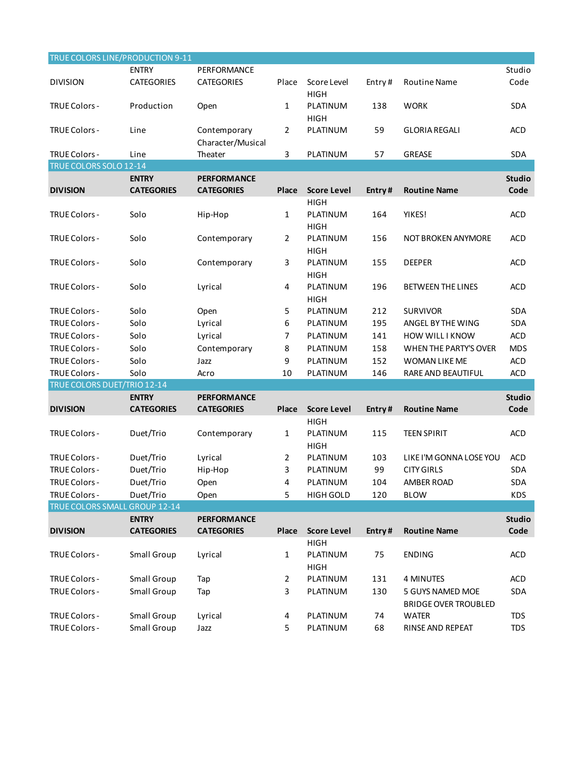| TRUE COLORS LINE/PRODUCTION 9-11 |                    |                                   |                |                            |        |                             |               |
|----------------------------------|--------------------|-----------------------------------|----------------|----------------------------|--------|-----------------------------|---------------|
|                                  | <b>ENTRY</b>       | PERFORMANCE                       |                |                            |        |                             | Studio        |
| <b>DIVISION</b>                  | <b>CATEGORIES</b>  | <b>CATEGORIES</b>                 | Place          | Score Level<br><b>HIGH</b> | Entry# | Routine Name                | Code          |
| TRUE Colors -                    | Production         | Open                              | 1              | PLATINUM<br><b>HIGH</b>    | 138    | <b>WORK</b>                 | <b>SDA</b>    |
| <b>TRUE Colors -</b>             | Line               | Contemporary<br>Character/Musical | $\overline{2}$ | PLATINUM                   | 59     | <b>GLORIA REGALI</b>        | <b>ACD</b>    |
| <b>TRUE Colors -</b>             | Line               | Theater                           | 3              | PLATINUM                   | 57     | <b>GREASE</b>               | <b>SDA</b>    |
| TRUE COLORS SOLO 12-14           |                    |                                   |                |                            |        |                             |               |
|                                  | <b>ENTRY</b>       | <b>PERFORMANCE</b>                |                |                            |        |                             | <b>Studio</b> |
| <b>DIVISION</b>                  | <b>CATEGORIES</b>  | <b>CATEGORIES</b>                 | Place          | <b>Score Level</b>         | Entry# | <b>Routine Name</b>         | Code          |
|                                  |                    |                                   |                | <b>HIGH</b>                |        |                             |               |
| TRUE Colors -                    | Solo               | Hip-Hop                           | 1              | PLATINUM<br><b>HIGH</b>    | 164    | YIKES!                      | <b>ACD</b>    |
| TRUE Colors -                    | Solo               | Contemporary                      | $\overline{2}$ | PLATINUM<br><b>HIGH</b>    | 156    | NOT BROKEN ANYMORE          | <b>ACD</b>    |
| TRUE Colors -                    | Solo               | Contemporary                      | 3              | PLATINUM<br><b>HIGH</b>    | 155    | <b>DEEPER</b>               | <b>ACD</b>    |
| TRUE Colors -                    | Solo               | Lyrical                           | 4              | PLATINUM<br><b>HIGH</b>    | 196    | BETWEEN THE LINES           | ACD           |
| <b>TRUE Colors -</b>             | Solo               | Open                              | 5              | PLATINUM                   | 212    | <b>SURVIVOR</b>             | <b>SDA</b>    |
| TRUE Colors -                    | Solo               | Lyrical                           | 6              | PLATINUM                   | 195    | ANGEL BY THE WING           | <b>SDA</b>    |
| <b>TRUE Colors -</b>             | Solo               | Lyrical                           | 7              | PLATINUM                   | 141    | HOW WILL I KNOW             | <b>ACD</b>    |
| <b>TRUE Colors -</b>             | Solo               | Contemporary                      | 8              | PLATINUM                   | 158    | WHEN THE PARTY'S OVER       | <b>MDS</b>    |
| TRUE Colors -                    | Solo               | Jazz                              | 9              | PLATINUM                   | 152    | WOMAN LIKE ME               | <b>ACD</b>    |
| TRUE Colors -                    | Solo               |                                   | 10             |                            | 146    |                             |               |
| TRUE COLORS DUET/TRIO 12-14      |                    | Acro                              |                | PLATINUM                   |        | RARE AND BEAUTIFUL          | <b>ACD</b>    |
|                                  | <b>ENTRY</b>       | <b>PERFORMANCE</b>                |                |                            |        |                             | <b>Studio</b> |
| <b>DIVISION</b>                  | <b>CATEGORIES</b>  | <b>CATEGORIES</b>                 | Place          | <b>Score Level</b>         | Entry# | <b>Routine Name</b>         | Code          |
|                                  |                    |                                   |                | <b>HIGH</b>                |        |                             |               |
| TRUE Colors -                    | Duet/Trio          | Contemporary                      | 1              | PLATINUM<br><b>HIGH</b>    | 115    | <b>TEEN SPIRIT</b>          | <b>ACD</b>    |
| TRUE Colors -                    | Duet/Trio          | Lyrical                           | 2              | PLATINUM                   | 103    | LIKE I'M GONNA LOSE YOU     | <b>ACD</b>    |
| TRUE Colors -                    | Duet/Trio          | Hip-Hop                           | 3              | PLATINUM                   | 99     | <b>CITY GIRLS</b>           | SDA           |
| TRUE Colors -                    | Duet/Trio          |                                   | 4              | PLATINUM                   | 104    | AMBER ROAD                  | SDA           |
| TRUE Colors -                    | Duet/Trio          | Open<br>Open                      | 5              | <b>HIGH GOLD</b>           | 120    | <b>BLOW</b>                 | <b>KDS</b>    |
| TRUE COLORS SMALL GROUP 12-14    |                    |                                   |                |                            |        |                             |               |
|                                  | <b>ENTRY</b>       | <b>PERFORMANCE</b>                |                |                            |        |                             | <b>Studio</b> |
| <b>DIVISION</b>                  | <b>CATEGORIES</b>  | <b>CATEGORIES</b>                 | Place          | <b>Score Level</b>         | Entry# | <b>Routine Name</b>         | Code          |
|                                  |                    |                                   |                | <b>HIGH</b>                |        |                             |               |
| TRUE Colors -                    | Small Group        | Lyrical                           | 1              | PLATINUM<br><b>HIGH</b>    | 75     | <b>ENDING</b>               | <b>ACD</b>    |
| TRUE Colors -                    | Small Group        | Tap                               | 2              | PLATINUM                   | 131    | <b>4 MINUTES</b>            | <b>ACD</b>    |
| TRUE Colors -                    | <b>Small Group</b> | Tap                               | 3              | PLATINUM                   | 130    | 5 GUYS NAMED MOE            | SDA           |
|                                  |                    |                                   |                |                            |        | <b>BRIDGE OVER TROUBLED</b> |               |
| TRUE Colors -                    | Small Group        | Lyrical                           | 4              | PLATINUM                   | 74     | <b>WATER</b>                | <b>TDS</b>    |
| TRUE Colors -                    | Small Group        | Jazz                              | 5              | PLATINUM                   | 68     | RINSE AND REPEAT            | <b>TDS</b>    |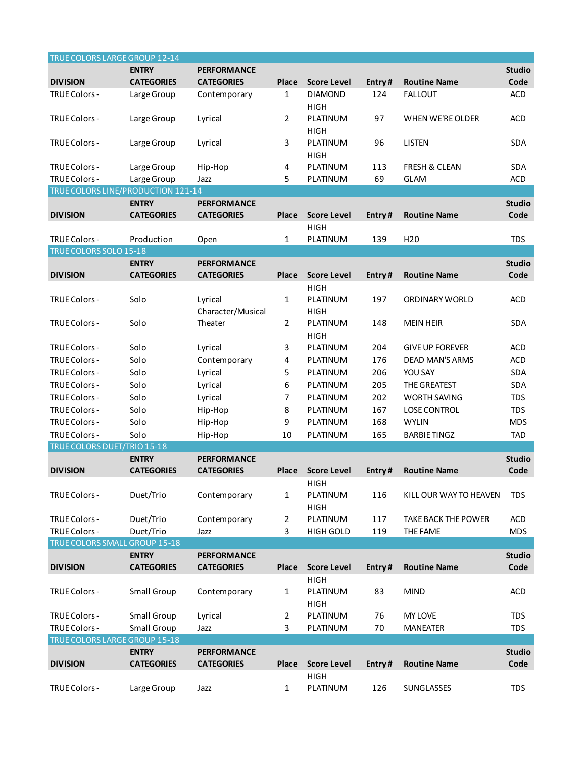| TRUE COLORS LARGE GROUP 12-14             |                                   |                                         |                |                                        |        |                            |                       |
|-------------------------------------------|-----------------------------------|-----------------------------------------|----------------|----------------------------------------|--------|----------------------------|-----------------------|
|                                           | <b>ENTRY</b>                      | <b>PERFORMANCE</b>                      |                |                                        |        |                            | <b>Studio</b>         |
| <b>DIVISION</b>                           | <b>CATEGORIES</b>                 | <b>CATEGORIES</b>                       | Place          | <b>Score Level</b>                     | Entry# | <b>Routine Name</b>        | Code                  |
| TRUE Colors -                             | Large Group                       | Contemporary                            | $\mathbf{1}$   | <b>DIAMOND</b><br><b>HIGH</b>          | 124    | <b>FALLOUT</b>             | <b>ACD</b>            |
| <b>TRUE Colors -</b>                      | Large Group                       | Lyrical                                 | $\overline{2}$ | PLATINUM<br><b>HIGH</b>                | 97     | WHEN WE'RE OLDER           | <b>ACD</b>            |
| <b>TRUE Colors -</b>                      | Large Group                       | Lyrical                                 | 3              | PLATINUM<br><b>HIGH</b>                | 96     | <b>LISTEN</b>              | <b>SDA</b>            |
| <b>TRUE Colors -</b>                      | Large Group                       | Hip-Hop                                 | 4              | PLATINUM                               | 113    | <b>FRESH &amp; CLEAN</b>   | <b>SDA</b>            |
| <b>TRUE Colors -</b>                      | Large Group                       | Jazz                                    | 5              | PLATINUM                               | 69     | <b>GLAM</b>                | <b>ACD</b>            |
| <b>TRUE COLORS LINE/PRODUCTION 121-14</b> |                                   |                                         |                |                                        |        |                            |                       |
|                                           | <b>ENTRY</b>                      | <b>PERFORMANCE</b>                      |                |                                        |        |                            | <b>Studio</b>         |
| <b>DIVISION</b>                           | <b>CATEGORIES</b>                 | <b>CATEGORIES</b>                       | Place          | <b>Score Level</b>                     | Entry# | <b>Routine Name</b>        | Code                  |
| <b>TRUE Colors -</b>                      | Production                        | Open                                    | $\mathbf{1}$   | <b>HIGH</b><br>PLATINUM                | 139    | H <sub>20</sub>            | <b>TDS</b>            |
| TRUE COLORS SOLO 15-18                    |                                   |                                         |                |                                        |        |                            |                       |
|                                           | <b>ENTRY</b>                      | <b>PERFORMANCE</b>                      |                |                                        |        |                            | <b>Studio</b>         |
| <b>DIVISION</b>                           | <b>CATEGORIES</b>                 | <b>CATEGORIES</b>                       | Place          | <b>Score Level</b>                     | Entry# | <b>Routine Name</b>        | Code                  |
| TRUE Colors -                             | Solo                              | Lyrical<br>Character/Musical            | $\mathbf{1}$   | <b>HIGH</b><br>PLATINUM<br><b>HIGH</b> | 197    | <b>ORDINARY WORLD</b>      | <b>ACD</b>            |
| <b>TRUE Colors -</b>                      | Solo                              | Theater                                 | $\overline{2}$ | PLATINUM<br><b>HIGH</b>                | 148    | <b>MEIN HEIR</b>           | <b>SDA</b>            |
| TRUE Colors -                             | Solo                              | Lyrical                                 | 3              | PLATINUM                               | 204    | <b>GIVE UP FOREVER</b>     | <b>ACD</b>            |
| <b>TRUE Colors -</b>                      | Solo                              | Contemporary                            | 4              | PLATINUM                               | 176    | <b>DEAD MAN'S ARMS</b>     | <b>ACD</b>            |
| <b>TRUE Colors -</b>                      | Solo                              | Lyrical                                 | 5              | PLATINUM                               | 206    | YOU SAY                    | SDA                   |
| <b>TRUE Colors -</b>                      | Solo                              | Lyrical                                 | 6              | PLATINUM                               | 205    | THE GREATEST               | SDA                   |
| <b>TRUE Colors -</b>                      | Solo                              | Lyrical                                 | 7              | PLATINUM                               | 202    | <b>WORTH SAVING</b>        | <b>TDS</b>            |
| TRUE Colors -                             | Solo                              | Hip-Hop                                 | 8              | PLATINUM                               | 167    | <b>LOSE CONTROL</b>        | <b>TDS</b>            |
| TRUE Colors -                             | Solo                              | Hip-Hop                                 | 9              | PLATINUM                               | 168    | <b>WYLIN</b>               | <b>MDS</b>            |
| TRUE Colors -                             | Solo                              | Hip-Hop                                 | 10             | PLATINUM                               | 165    | <b>BARBIE TINGZ</b>        | <b>TAD</b>            |
| TRUE COLORS DUET/TRIO 15-18               |                                   |                                         |                |                                        |        |                            |                       |
|                                           | <b>ENTRY</b>                      | <b>PERFORMANCE</b>                      |                |                                        |        |                            | <b>Studio</b>         |
| <b>DIVISION</b>                           | <b>CATEGORIES</b>                 | <b>CATEGORIES</b>                       | Place          | Score Level<br><b>HIGH</b>             | Entry# | <b>Routine Name</b>        | Code                  |
| <b>TRUE Colors -</b>                      | Duet/Trio                         | Contemporary                            | $\mathbf{1}$   | PLATINUM<br><b>HIGH</b>                | 116    | KILL OUR WAY TO HEAVEN     | <b>TDS</b>            |
| <b>TRUE Colors -</b>                      | Duet/Trio                         | Contemporary                            | $\overline{2}$ | PLATINUM                               | 117    | <b>TAKE BACK THE POWER</b> | <b>ACD</b>            |
| TRUE Colors -                             | Duet/Trio                         | Jazz                                    | 3              | <b>HIGH GOLD</b>                       | 119    | THE FAME                   | <b>MDS</b>            |
| TRUE COLORS SMALL GROUP 15-18             |                                   |                                         |                |                                        |        |                            |                       |
|                                           | <b>ENTRY</b>                      | <b>PERFORMANCE</b>                      |                |                                        |        |                            | <b>Studio</b>         |
| <b>DIVISION</b>                           | <b>CATEGORIES</b>                 | <b>CATEGORIES</b>                       | Place          | <b>Score Level</b>                     | Entry# | <b>Routine Name</b>        | Code                  |
| <b>TRUE Colors -</b>                      | Small Group                       | Contemporary                            | 1              | <b>HIGH</b><br>PLATINUM<br><b>HIGH</b> | 83     | <b>MIND</b>                | ACD                   |
| <b>TRUE Colors -</b>                      | Small Group                       | Lyrical                                 | $\overline{2}$ | PLATINUM                               | 76     | <b>MY LOVE</b>             | <b>TDS</b>            |
| TRUE Colors -                             | Small Group                       | Jazz                                    | 3              | PLATINUM                               | 70     | <b>MANEATER</b>            | <b>TDS</b>            |
| TRUE COLORS LARGE GROUP 15-18             |                                   |                                         |                |                                        |        |                            |                       |
| <b>DIVISION</b>                           | <b>ENTRY</b><br><b>CATEGORIES</b> | <b>PERFORMANCE</b><br><b>CATEGORIES</b> | <b>Place</b>   | <b>Score Level</b>                     | Entry# | <b>Routine Name</b>        | <b>Studio</b><br>Code |
| TRUE Colors -                             | Large Group                       | Jazz                                    | 1              | <b>HIGH</b><br>PLATINUM                | 126    | SUNGLASSES                 | <b>TDS</b>            |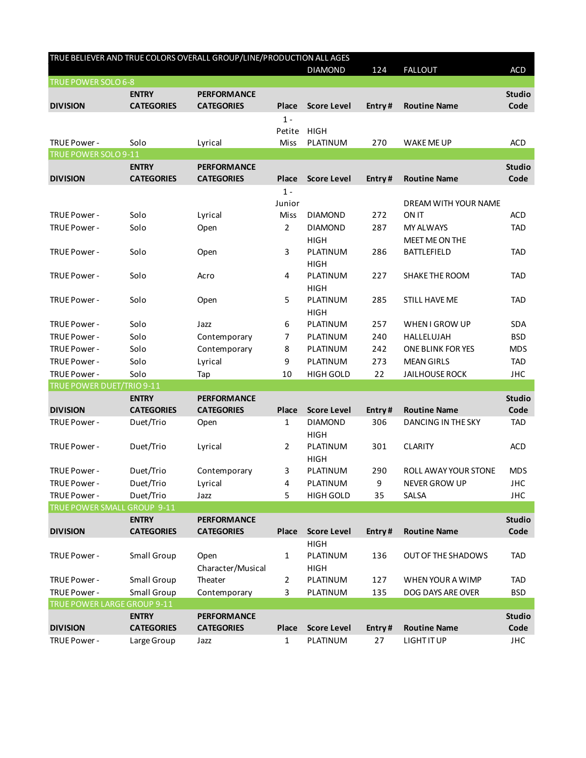| TRUE BELIEVER AND TRUE COLORS OVERALL GROUP/LINE/PRODUCTION ALL AGES |                   |                    |                |                    |        |                           |               |
|----------------------------------------------------------------------|-------------------|--------------------|----------------|--------------------|--------|---------------------------|---------------|
|                                                                      |                   |                    |                | <b>DIAMOND</b>     | 124    | <b>FALLOUT</b>            | <b>ACD</b>    |
| TRUE POWER SOLO 6-8                                                  |                   |                    |                |                    |        |                           |               |
|                                                                      | <b>ENTRY</b>      | <b>PERFORMANCE</b> |                |                    |        |                           | <b>Studio</b> |
| <b>DIVISION</b>                                                      | <b>CATEGORIES</b> | <b>CATEGORIES</b>  | <b>Place</b>   | <b>Score Level</b> | Entry# | <b>Routine Name</b>       | Code          |
|                                                                      |                   |                    | $1 -$          |                    |        |                           |               |
|                                                                      |                   |                    | Petite         | <b>HIGH</b>        |        |                           |               |
| TRUE Power -                                                         | Solo              | Lyrical            | Miss           | PLATINUM           | 270    | WAKE ME UP                | <b>ACD</b>    |
| TRUE POWER SOLO 9-11                                                 |                   |                    |                |                    |        |                           |               |
|                                                                      | <b>ENTRY</b>      | <b>PERFORMANCE</b> |                |                    |        |                           | <b>Studio</b> |
| <b>DIVISION</b>                                                      | <b>CATEGORIES</b> | <b>CATEGORIES</b>  | <b>Place</b>   | <b>Score Level</b> | Entry# | <b>Routine Name</b>       | Code          |
|                                                                      |                   |                    | $1 -$          |                    |        |                           |               |
|                                                                      |                   |                    | Junior         |                    |        | DREAM WITH YOUR NAME      |               |
| TRUE Power -                                                         | Solo              | Lyrical            | Miss           | <b>DIAMOND</b>     | 272    | <b>ON IT</b>              | <b>ACD</b>    |
| TRUE Power -                                                         | Solo              | Open               | $\overline{2}$ | <b>DIAMOND</b>     | 287    | <b>MY ALWAYS</b>          | <b>TAD</b>    |
|                                                                      |                   |                    |                | <b>HIGH</b>        |        | <b>MEET ME ON THE</b>     |               |
| TRUE Power -                                                         | Solo              | Open               | 3              | PLATINUM           | 286    | <b>BATTLEFIELD</b>        | <b>TAD</b>    |
|                                                                      |                   |                    |                | <b>HIGH</b>        |        |                           |               |
| TRUE Power -                                                         | Solo              | Acro               | 4              | PLATINUM           | 227    | SHAKE THE ROOM            | TAD           |
|                                                                      |                   |                    |                | <b>HIGH</b>        |        |                           |               |
| TRUE Power -                                                         | Solo              | Open               | 5              | PLATINUM           | 285    | STILL HAVE ME             | <b>TAD</b>    |
|                                                                      |                   |                    |                | <b>HIGH</b>        |        |                           |               |
| TRUE Power -                                                         | Solo              | Jazz               | 6              | PLATINUM           | 257    | WHEN I GROW UP            | <b>SDA</b>    |
| TRUE Power -                                                         | Solo              | Contemporary       | 7              | PLATINUM           | 240    | HALLELUJAH                | <b>BSD</b>    |
| TRUE Power -                                                         | Solo              | Contemporary       | 8              | PLATINUM           | 242    | ONE BLINK FOR YES         | <b>MDS</b>    |
| TRUE Power -                                                         | Solo              | Lyrical            | 9              | PLATINUM           | 273    | <b>MEAN GIRLS</b>         | <b>TAD</b>    |
| TRUE Power -                                                         | Solo              | Tap                | 10             | <b>HIGH GOLD</b>   | 22     | <b>JAILHOUSE ROCK</b>     | <b>JHC</b>    |
| TRUE POWER DUET/TRIO 9-11                                            |                   |                    |                |                    |        |                           |               |
|                                                                      | <b>ENTRY</b>      | <b>PERFORMANCE</b> |                |                    |        |                           | <b>Studio</b> |
| <b>DIVISION</b>                                                      | <b>CATEGORIES</b> | <b>CATEGORIES</b>  | Place          | <b>Score Level</b> | Entry# | <b>Routine Name</b>       | Code          |
| TRUE Power -                                                         | Duet/Trio         | Open               | $\mathbf{1}$   | <b>DIAMOND</b>     | 306    | <b>DANCING IN THE SKY</b> | <b>TAD</b>    |
|                                                                      |                   |                    |                | <b>HIGH</b>        |        |                           |               |
| TRUE Power -                                                         | Duet/Trio         | Lyrical            | 2              | PLATINUM           | 301    | <b>CLARITY</b>            | ACD           |
|                                                                      |                   |                    |                | <b>HIGH</b>        |        |                           |               |
| TRUE Power -                                                         | Duet/Trio         | Contemporary       | 3              | PLATINUM           | 290    | ROLL AWAY YOUR STONE      | <b>MDS</b>    |
| TRUE Power -                                                         | Duet/Trio         | Lyrical            | 4              | PLATINUM           | 9      | <b>NEVER GROW UP</b>      | <b>JHC</b>    |
| TRUE Power -                                                         | Duet/Trio         | Jazz               | 5              | <b>HIGH GOLD</b>   | 35     | SALSA                     | <b>JHC</b>    |
| <b>TRUE POWER SMALL GROUP 9-11</b>                                   |                   |                    |                |                    |        |                           |               |
|                                                                      | <b>ENTRY</b>      | <b>PERFORMANCE</b> |                |                    |        |                           | <b>Studio</b> |
| <b>DIVISION</b>                                                      | <b>CATEGORIES</b> | <b>CATEGORIES</b>  | <b>Place</b>   | <b>Score Level</b> | Entry# | <b>Routine Name</b>       | Code          |
|                                                                      |                   |                    |                | <b>HIGH</b>        |        |                           |               |
| TRUE Power -                                                         | Small Group       | Open               | 1              | PLATINUM           | 136    | OUT OF THE SHADOWS        | <b>TAD</b>    |
|                                                                      |                   | Character/Musical  |                | <b>HIGH</b>        |        |                           |               |
| TRUE Power -                                                         | Small Group       | Theater            | 2              | PLATINUM           | 127    | WHEN YOUR A WIMP          | <b>TAD</b>    |
| TRUE Power -                                                         | Small Group       | Contemporary       | 3              | PLATINUM           | 135    | DOG DAYS ARE OVER         | <b>BSD</b>    |
| TRUE POWER LARGE GROUP 9-11                                          |                   |                    |                |                    |        |                           |               |
|                                                                      | <b>ENTRY</b>      | <b>PERFORMANCE</b> |                |                    |        |                           | <b>Studio</b> |
| <b>DIVISION</b>                                                      | <b>CATEGORIES</b> | <b>CATEGORIES</b>  | Place          | <b>Score Level</b> | Entry# | <b>Routine Name</b>       | Code          |
| TRUE Power -                                                         | Large Group       | Jazz               | 1              | PLATINUM           | 27     | <b>LIGHT IT UP</b>        | <b>JHC</b>    |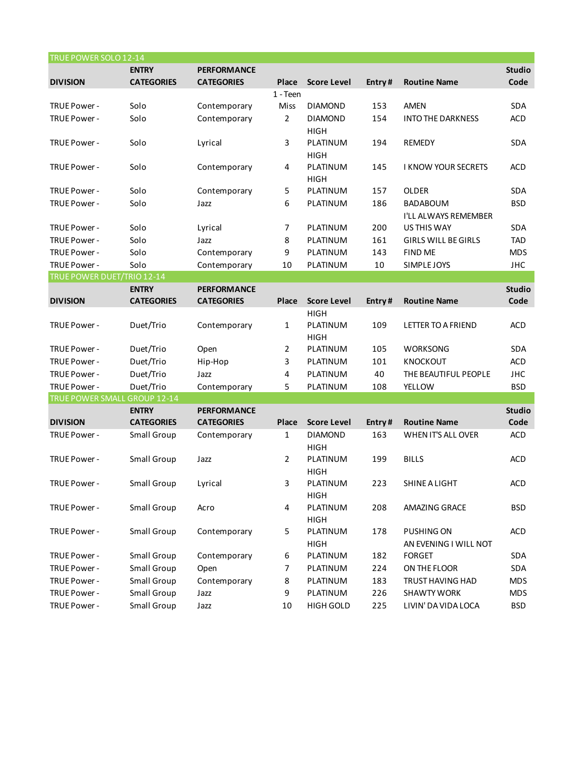| TRUE POWER SOLO 12-14             |                    |                    |                |                    |        |                            |               |
|-----------------------------------|--------------------|--------------------|----------------|--------------------|--------|----------------------------|---------------|
|                                   | <b>ENTRY</b>       | <b>PERFORMANCE</b> |                |                    |        |                            | <b>Studio</b> |
| <b>DIVISION</b>                   | <b>CATEGORIES</b>  | <b>CATEGORIES</b>  | <b>Place</b>   | <b>Score Level</b> | Entry# | <b>Routine Name</b>        | Code          |
|                                   |                    |                    | 1 - Teen       |                    |        |                            |               |
| TRUE Power -                      | Solo               | Contemporary       | Miss           | <b>DIAMOND</b>     | 153    | <b>AMEN</b>                | <b>SDA</b>    |
| TRUE Power -                      | Solo               | Contemporary       | $\overline{2}$ | <b>DIAMOND</b>     | 154    | <b>INTO THE DARKNESS</b>   | <b>ACD</b>    |
|                                   |                    |                    |                | <b>HIGH</b>        |        |                            |               |
| TRUE Power -                      | Solo               | Lyrical            | 3              | PLATINUM           | 194    | REMEDY                     | <b>SDA</b>    |
|                                   |                    |                    |                | <b>HIGH</b>        |        |                            |               |
| TRUE Power -                      | Solo               | Contemporary       | 4              | PLATINUM           | 145    | <b>I KNOW YOUR SECRETS</b> | <b>ACD</b>    |
|                                   |                    |                    |                | <b>HIGH</b>        |        |                            |               |
| TRUE Power -                      | Solo               | Contemporary       | 5              | PLATINUM           | 157    | <b>OLDER</b>               | SDA           |
| TRUE Power -                      | Solo               | Jazz               | 6              | PLATINUM           | 186    | <b>BADABOUM</b>            | <b>BSD</b>    |
|                                   |                    |                    |                |                    |        | I'LL ALWAYS REMEMBER       |               |
| TRUE Power -                      | Solo               | Lyrical            | 7              | PLATINUM           | 200    | <b>US THIS WAY</b>         | <b>SDA</b>    |
| TRUE Power -                      | Solo               | Jazz               | 8              | PLATINUM           | 161    | <b>GIRLS WILL BE GIRLS</b> | <b>TAD</b>    |
| TRUE Power -                      | Solo               | Contemporary       | 9              | PLATINUM           | 143    | <b>FIND ME</b>             | <b>MDS</b>    |
| TRUE Power -                      | Solo               | Contemporary       | 10             | PLATINUM           | 10     | SIMPLE JOYS                | <b>JHC</b>    |
| <b>TRUE POWER DUET/TRIO 12-14</b> |                    |                    |                |                    |        |                            |               |
|                                   | <b>ENTRY</b>       | <b>PERFORMANCE</b> |                |                    |        |                            | <b>Studio</b> |
| <b>DIVISION</b>                   | <b>CATEGORIES</b>  | <b>CATEGORIES</b>  | Place          | <b>Score Level</b> | Entry# | <b>Routine Name</b>        | Code          |
|                                   |                    |                    |                | <b>HIGH</b>        |        |                            |               |
| TRUE Power -                      | Duet/Trio          | Contemporary       | 1              | PLATINUM           | 109    | <b>LETTER TO A FRIEND</b>  | <b>ACD</b>    |
|                                   |                    |                    |                | <b>HIGH</b>        |        |                            |               |
| TRUE Power -                      | Duet/Trio          | Open               | 2              | PLATINUM           | 105    | <b>WORKSONG</b>            | <b>SDA</b>    |
| TRUE Power -                      | Duet/Trio          | Hip-Hop            | 3              | PLATINUM           | 101    | <b>KNOCKOUT</b>            | <b>ACD</b>    |
| TRUE Power -                      | Duet/Trio          | Jazz               | 4              | PLATINUM           | 40     | THE BEAUTIFUL PEOPLE       | <b>JHC</b>    |
| TRUE Power -                      | Duet/Trio          | Contemporary       | 5              | PLATINUM           | 108    | <b>YELLOW</b>              | <b>BSD</b>    |
| TRUE POWER SMALL GROUP 12-14      |                    |                    |                |                    |        |                            |               |
|                                   | <b>ENTRY</b>       | <b>PERFORMANCE</b> |                |                    |        |                            | <b>Studio</b> |
| <b>DIVISION</b>                   | <b>CATEGORIES</b>  | <b>CATEGORIES</b>  | Place          | <b>Score Level</b> | Entry# | <b>Routine Name</b>        | Code          |
| TRUE Power -                      | Small Group        | Contemporary       | $\mathbf{1}$   | <b>DIAMOND</b>     | 163    | WHEN IT'S ALL OVER         | <b>ACD</b>    |
|                                   |                    |                    |                | <b>HIGH</b>        |        |                            |               |
| TRUE Power -                      | Small Group        | Jazz               | 2              | PLATINUM           | 199    | <b>BILLS</b>               | <b>ACD</b>    |
|                                   |                    |                    |                | <b>HIGH</b>        |        |                            |               |
| TRUE Power -                      | <b>Small Group</b> | Lyrical            | 3              | PLATINUM           | 223    | SHINE A LIGHT              | <b>ACD</b>    |
|                                   |                    |                    |                | <b>HIGH</b>        |        |                            |               |
| TRUE Power -                      | Small Group        | Acro               | 4              | PLATINUM           | 208    | AMAZING GRACE              | <b>BSD</b>    |
|                                   |                    |                    |                | <b>HIGH</b>        |        |                            |               |
| TRUE Power -                      | Small Group        | Contemporary       | 5              | PLATINUM           | 178    | PUSHING ON                 | ACD           |
|                                   |                    |                    |                | <b>HIGH</b>        |        | AN EVENING I WILL NOT      |               |
|                                   |                    |                    |                |                    |        | <b>FORGET</b>              |               |
| TRUE Power -                      | Small Group        | Contemporary       | 6              | PLATINUM           | 182    |                            | SDA           |
| TRUE Power -                      | Small Group        | Open               | 7              | PLATINUM           | 224    | ON THE FLOOR               | SDA           |
| TRUE Power -                      | Small Group        | Contemporary       | 8              | PLATINUM           | 183    | TRUST HAVING HAD           | <b>MDS</b>    |
| TRUE Power -                      | Small Group        | Jazz               | 9              | PLATINUM           | 226    | <b>SHAWTY WORK</b>         | <b>MDS</b>    |
| TRUE Power -                      | Small Group        | Jazz               | 10             | HIGH GOLD          | 225    | LIVIN' DA VIDA LOCA        | <b>BSD</b>    |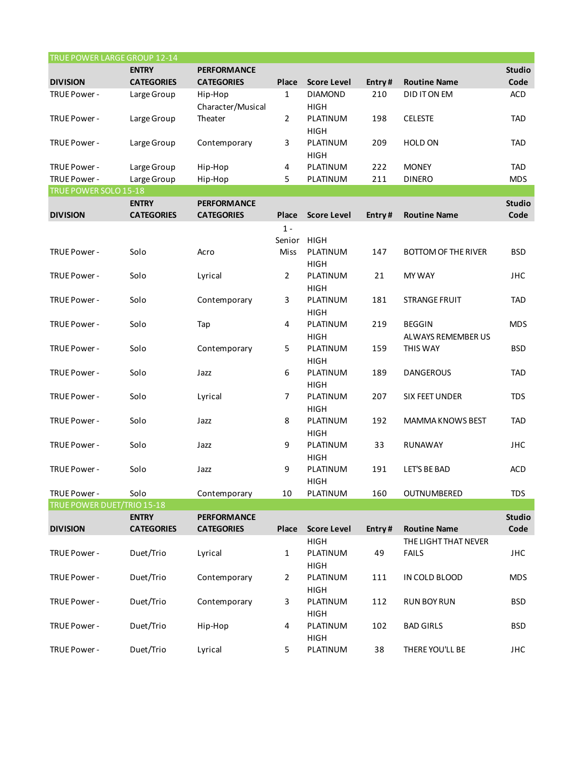| TRUE POWER LARGE GROUP 12-14 |                   |                    |                |                    |        |                            |               |
|------------------------------|-------------------|--------------------|----------------|--------------------|--------|----------------------------|---------------|
|                              | <b>ENTRY</b>      | <b>PERFORMANCE</b> |                |                    |        |                            | <b>Studio</b> |
| <b>DIVISION</b>              | <b>CATEGORIES</b> | <b>CATEGORIES</b>  | Place          | <b>Score Level</b> | Entry# | <b>Routine Name</b>        | Code          |
| TRUE Power -                 | Large Group       | Hip-Hop            | $\mathbf{1}$   | <b>DIAMOND</b>     | 210    | DID IT ON EM               | <b>ACD</b>    |
|                              |                   | Character/Musical  |                | <b>HIGH</b>        |        |                            |               |
| TRUE Power -                 | Large Group       | Theater            | 2              | PLATINUM           | 198    | <b>CELESTE</b>             | <b>TAD</b>    |
|                              |                   |                    |                | <b>HIGH</b>        |        |                            |               |
| TRUE Power -                 | Large Group       | Contemporary       | 3              | PLATINUM           | 209    | <b>HOLD ON</b>             | <b>TAD</b>    |
|                              |                   |                    |                | <b>HIGH</b>        |        |                            |               |
| TRUE Power -                 | Large Group       | Hip-Hop            | 4              | PLATINUM           | 222    | <b>MONEY</b>               | <b>TAD</b>    |
| TRUE Power -                 | Large Group       | Hip-Hop            | 5              | PLATINUM           | 211    | <b>DINERO</b>              | <b>MDS</b>    |
| TRUE POWER SOLO 15-18        |                   |                    |                |                    |        |                            |               |
|                              | <b>ENTRY</b>      | <b>PERFORMANCE</b> |                |                    |        |                            | <b>Studio</b> |
| <b>DIVISION</b>              | <b>CATEGORIES</b> | <b>CATEGORIES</b>  | Place          | <b>Score Level</b> | Entry# | <b>Routine Name</b>        | Code          |
|                              |                   |                    | $1 -$          |                    |        |                            |               |
|                              |                   |                    | Senior         | <b>HIGH</b>        |        |                            |               |
| TRUE Power -                 | Solo              | Acro               | Miss           | PLATINUM           | 147    | <b>BOTTOM OF THE RIVER</b> | <b>BSD</b>    |
|                              |                   |                    |                | <b>HIGH</b>        |        |                            |               |
| TRUE Power -                 | Solo              | Lyrical            | $\overline{2}$ | PLATINUM           | 21     | <b>MY WAY</b>              | <b>JHC</b>    |
|                              |                   |                    |                | <b>HIGH</b>        |        |                            |               |
| TRUE Power -                 | Solo              | Contemporary       | 3              | PLATINUM           | 181    | <b>STRANGE FRUIT</b>       | <b>TAD</b>    |
|                              |                   |                    |                | <b>HIGH</b>        |        |                            |               |
| TRUE Power -                 | Solo              |                    |                | PLATINUM           | 219    | <b>BEGGIN</b>              | <b>MDS</b>    |
|                              |                   | Tap                | 4              |                    |        |                            |               |
|                              |                   |                    |                | <b>HIGH</b>        |        | ALWAYS REMEMBER US         |               |
| TRUE Power -                 | Solo              | Contemporary       | 5              | PLATINUM           | 159    | THIS WAY                   | <b>BSD</b>    |
|                              |                   |                    |                | <b>HIGH</b>        |        |                            |               |
| TRUE Power -                 | Solo              | Jazz               | 6              | PLATINUM           | 189    | <b>DANGEROUS</b>           | <b>TAD</b>    |
|                              |                   |                    |                | <b>HIGH</b>        |        |                            |               |
| TRUE Power -                 | Solo              | Lyrical            | 7              | PLATINUM           | 207    | SIX FEET UNDER             | <b>TDS</b>    |
|                              |                   |                    |                | <b>HIGH</b>        |        |                            |               |
| TRUE Power -                 | Solo              | Jazz               | 8              | PLATINUM           | 192    | MAMMA KNOWS BEST           | <b>TAD</b>    |
|                              |                   |                    |                | <b>HIGH</b>        |        |                            |               |
| TRUE Power -                 | Solo              | Jazz               | 9              | PLATINUM           | 33     | RUNAWAY                    | <b>JHC</b>    |
|                              |                   |                    |                | <b>HIGH</b>        |        |                            |               |
| TRUE Power -                 | Solo              | Jazz               | 9              | PLATINUM           | 191    | LET'S BE BAD               | <b>ACD</b>    |
|                              |                   |                    |                | HIGH               |        |                            |               |
| TRUE Power -                 | Solo              | Contemporary       | 10             | PLATINUM           | 160    | OUTNUMBERED                | <b>TDS</b>    |
| TRUE POWER DUET/TRIO 15-18   |                   |                    |                |                    |        |                            |               |
|                              | <b>ENTRY</b>      | <b>PERFORMANCE</b> |                |                    |        |                            | <b>Studio</b> |
| <b>DIVISION</b>              | <b>CATEGORIES</b> | <b>CATEGORIES</b>  | <b>Place</b>   | <b>Score Level</b> | Entry# | <b>Routine Name</b>        | Code          |
|                              |                   |                    |                | <b>HIGH</b>        |        | THE LIGHT THAT NEVER       |               |
| TRUE Power -                 | Duet/Trio         | Lyrical            | $\mathbf{1}$   | PLATINUM           | 49     | <b>FAILS</b>               | <b>JHC</b>    |
|                              |                   |                    |                | <b>HIGH</b>        |        |                            |               |
| TRUE Power -                 | Duet/Trio         | Contemporary       | $\overline{2}$ | PLATINUM           | 111    | IN COLD BLOOD              | <b>MDS</b>    |
|                              |                   |                    |                | <b>HIGH</b>        |        |                            |               |
| TRUE Power -                 | Duet/Trio         | Contemporary       | 3              | PLATINUM           | 112    | <b>RUN BOY RUN</b>         | <b>BSD</b>    |
|                              |                   |                    |                | <b>HIGH</b>        |        |                            |               |
| TRUE Power -                 | Duet/Trio         | Hip-Hop            | 4              | PLATINUM           | 102    | <b>BAD GIRLS</b>           | <b>BSD</b>    |
|                              |                   |                    |                | <b>HIGH</b>        |        |                            |               |
| TRUE Power -                 | Duet/Trio         | Lyrical            | 5              | PLATINUM           | 38     | THERE YOU'LL BE            | <b>JHC</b>    |